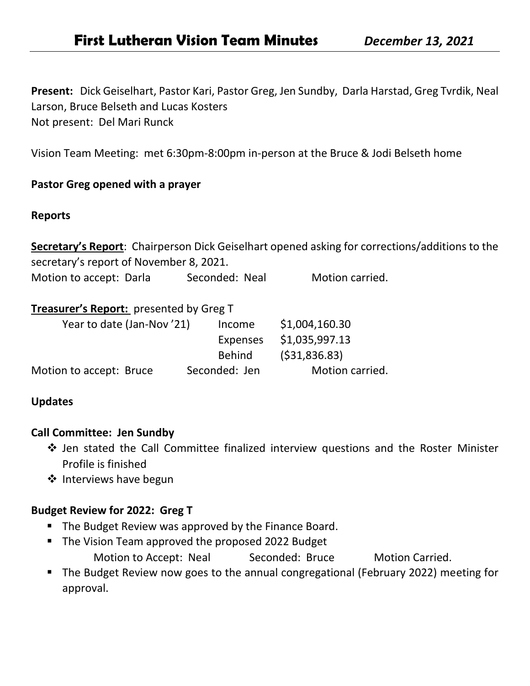**Present:** Dick Geiselhart, Pastor Kari, Pastor Greg, Jen Sundby, Darla Harstad, Greg Tvrdik, Neal Larson, Bruce Belseth and Lucas Kosters Not present: Del Mari Runck

Vision Team Meeting: met 6:30pm-8:00pm in-person at the Bruce & Jodi Belseth home

## **Pastor Greg opened with a prayer**

#### **Reports**

**Secretary's Report**: Chairperson Dick Geiselhart opened asking for corrections/additions to the secretary's report of November 8, 2021.

Motion to accept: Darla Seconded: Neal Motion carried.

## **Treasurer's Report:** presented by Greg T

| Income          | \$1,004,160.30                             |
|-----------------|--------------------------------------------|
| <b>Expenses</b> | \$1,035,997.13                             |
| <b>Behind</b>   | ( \$31, 836.83)                            |
|                 | Motion carried.                            |
|                 | Year to date (Jan-Nov'21)<br>Seconded: Jen |

### **Updates**

### **Call Committee: Jen Sundby**

- ❖ Jen stated the Call Committee finalized interview questions and the Roster Minister Profile is finished
- ❖ Interviews have begun

### **Budget Review for 2022: Greg T**

- The Budget Review was approved by the Finance Board.
- The Vision Team approved the proposed 2022 Budget Motion to Accept: Neal Seconded: Bruce Motion Carried.
- The Budget Review now goes to the annual congregational (February 2022) meeting for approval.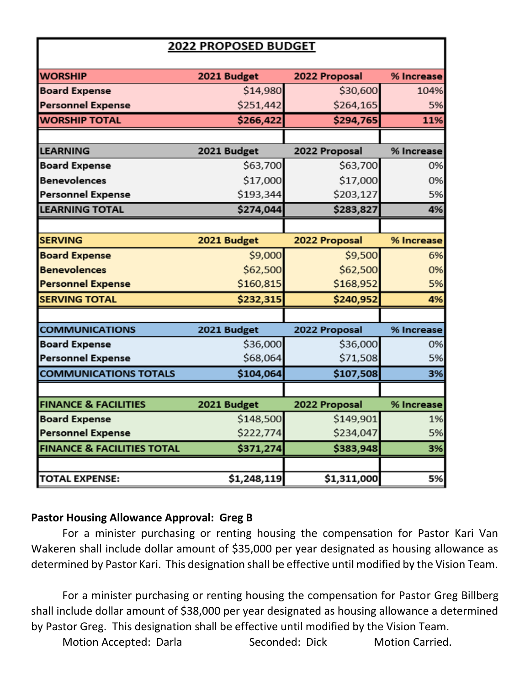| <b>2022 PROPOSED BUDGET</b>           |             |               |            |
|---------------------------------------|-------------|---------------|------------|
|                                       |             |               |            |
| <b>WORSHIP</b>                        | 2021 Budget | 2022 Proposal | % Increase |
| <b>Board Expense</b>                  | \$14,980    | \$30,600      | 104%       |
| <b>Personnel Expense</b>              | \$251,442   | \$264,165     | 5%         |
| <b>WORSHIP TOTAL</b>                  | \$266,422   | \$294,765     | 11%        |
|                                       |             |               |            |
| <b>LEARNING</b>                       | 2021 Budget | 2022 Proposal | % Increase |
| <b>Board Expense</b>                  | \$63,700    | \$63,700      | 0%         |
| <b>Benevolences</b>                   | \$17,000    | \$17,000      | 0%         |
| <b>Personnel Expense</b>              | \$193,344   | \$203,127     | 5%         |
| <b>LEARNING TOTAL</b>                 | \$274,044   | \$283,827     | 4%         |
|                                       |             |               |            |
| <b>SERVING</b>                        | 2021 Budget | 2022 Proposal | % Increase |
| <b>Board Expense</b>                  | \$9,000     | \$9,500       | 6%         |
| <b>Benevolences</b>                   | \$62,500    | \$62,500      | 0%         |
| <b>Personnel Expense</b>              | \$160,815   | \$168,952     | 5%         |
| <b>SERVING TOTAL</b>                  | \$232,315   | \$240,952     | 4%         |
|                                       |             |               |            |
| <b>COMMUNICATIONS</b>                 | 2021 Budget | 2022 Proposal | % Increase |
| <b>Board Expense</b>                  | \$36,000    | \$36,000      | 0%         |
| <b>Personnel Expense</b>              | \$68,064    | \$71,508      | 5%         |
| <b>COMMUNICATIONS TOTALS</b>          | \$104,064   | \$107,508     | 3%         |
|                                       |             |               |            |
| <b>FINANCE &amp; FACILITIES</b>       | 2021 Budget | 2022 Proposal | % Increase |
| <b>Board Expense</b>                  | \$148,500   | \$149,901     | 1%         |
| <b>Personnel Expense</b>              | \$222,774   | \$234,047     | 5%         |
| <b>FINANCE &amp; FACILITIES TOTAL</b> | \$371,274   | \$383,948     | 3%         |
|                                       |             |               |            |
| <b>TOTAL EXPENSE:</b>                 | \$1,248,119 | \$1,311,000   | 5%         |

# **Pastor Housing Allowance Approval: Greg B**

For a minister purchasing or renting housing the compensation for Pastor Kari Van Wakeren shall include dollar amount of \$35,000 per year designated as housing allowance as determined by Pastor Kari. This designation shall be effective until modified by the Vision Team.

For a minister purchasing or renting housing the compensation for Pastor Greg Billberg shall include dollar amount of \$38,000 per year designated as housing allowance a determined by Pastor Greg. This designation shall be effective until modified by the Vision Team. Motion Accepted: Darla Seconded: Dick Motion Carried.